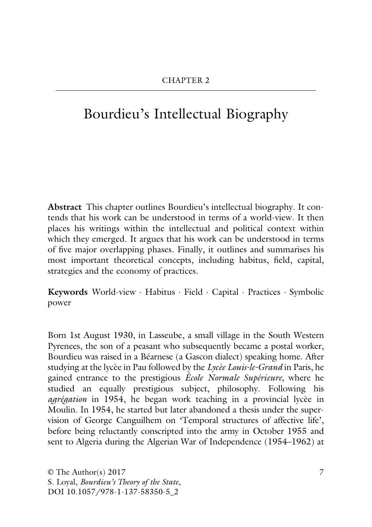# Bourdieu's Intellectual Biography

Abstract This chapter outlines Bourdieu's intellectual biography. It contends that his work can be understood in terms of a world-view. It then places his writings within the intellectual and political context within which they emerged. It argues that his work can be understood in terms of five major overlapping phases. Finally, it outlines and summarises his most important theoretical concepts, including habitus, field, capital, strategies and the economy of practices.

Keywords World-view Habitus Field Capital Practices Symbolic power

Born 1st August 1930, in Lasseube, a small village in the South Western Pyrenees, the son of a peasant who subsequently became a postal worker, Bourdieu was raised in a Béarnese (a Gascon dialect) speaking home. After studying at the lycèe in Pau followed by the Lycèe Louis-le-Grand in Paris, he gained entrance to the prestigious École Normale Supérieure, where he studied an equally prestigious subject, philosophy. Following his agrégation in 1954, he began work teaching in a provincial lycèe in Moulin. In 1954, he started but later abandoned a thesis under the supervision of George Canguilhem on 'Temporal structures of affective life', before being reluctantly conscripted into the army in October 1955 and sent to Algeria during the Algerian War of Independence (1954–1962) at

© The Author(s) 2017 S. Loyal, Bourdieu's Theory of the State, DOI 10.1057/978-1-137-58350-5\_2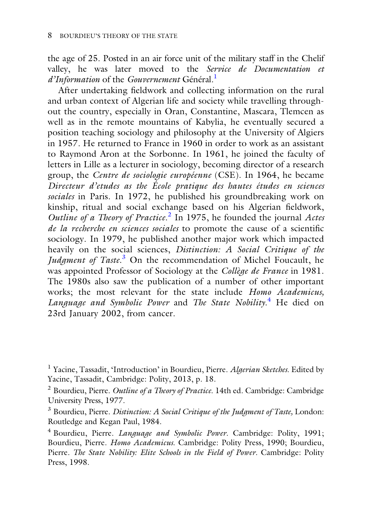the age of 25. Posted in an air force unit of the military staff in the Chelif valley, he was later moved to the Service de Documentation et  $d'Information$  of the *Gouvernement* Général.<sup>1</sup>

After undertaking fieldwork and collecting information on the rural and urban context of Algerian life and society while travelling throughout the country, especially in Oran, Constantine, Mascara, Tlemcen as well as in the remote mountains of Kabylia, he eventually secured a position teaching sociology and philosophy at the University of Algiers in 1957. He returned to France in 1960 in order to work as an assistant to Raymond Aron at the Sorbonne. In 1961, he joined the faculty of letters in Lille as a lecturer in sociology, becoming director of a research group, the Centre de sociologie européenne (CSE). In 1964, he became Directeur d'etudes as the École pratique des hautes études en sciences sociales in Paris. In 1972, he published his groundbreaking work on kinship, ritual and social exchange based on his Algerian fieldwork, Outline of a Theory of Practice.<sup>2</sup> In 1975, he founded the journal Actes de la recherche en sciences sociales to promote the cause of a scientific sociology. In 1979, he published another major work which impacted heavily on the social sciences, Distinction: A Social Critique of the Judgment of Taste.<sup>3</sup> On the recommendation of Michel Foucault, he was appointed Professor of Sociology at the *Collège de France* in 1981. The 1980s also saw the publication of a number of other important works; the most relevant for the state include *Homo Academicus*, Language and Symbolic Power and The State Nobility.<sup>4</sup> He died on 23rd January 2002, from cancer.

<sup>&</sup>lt;sup>1</sup> Yacine, Tassadit, 'Introduction' in Bourdieu, Pierre. Algerian Sketches. Edited by Yacine, Tassadit, Cambridge: Polity, 2013, p. 18.

 $2$  Bourdieu, Pierre. Outline of a Theory of Practice. 14th ed. Cambridge: Cambridge University Press, 1977.

<sup>&</sup>lt;sup>3</sup> Bourdieu, Pierre. Distinction: A Social Critique of the Judgment of Taste, London: Routledge and Kegan Paul, 1984.

<sup>&</sup>lt;sup>4</sup> Bourdieu, Pierre. Language and Symbolic Power. Cambridge: Polity, 1991; Bourdieu, Pierre. Homo Academicus. Cambridge: Polity Press, 1990; Bourdieu, Pierre. The State Nobility: Elite Schools in the Field of Power. Cambridge: Polity Press, 1998.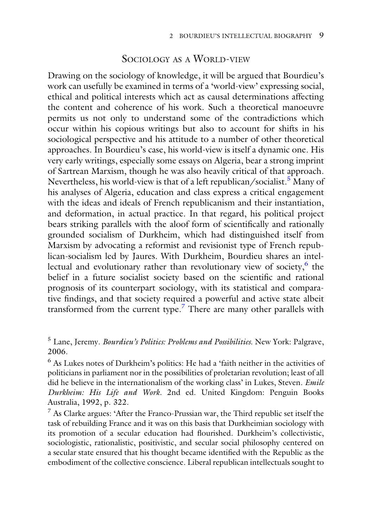## SOCIOLOGY AS A WORLD-VIEW

Drawing on the sociology of knowledge, it will be argued that Bourdieu's work can usefully be examined in terms of a 'world-view' expressing social, ethical and political interests which act as causal determinations affecting the content and coherence of his work. Such a theoretical manoeuvre permits us not only to understand some of the contradictions which occur within his copious writings but also to account for shifts in his sociological perspective and his attitude to a number of other theoretical approaches. In Bourdieu's case, his world-view is itself a dynamic one. His very early writings, especially some essays on Algeria, bear a strong imprint of Sartrean Marxism, though he was also heavily critical of that approach. Nevertheless, his world-view is that of a left republican/socialist.<sup>5</sup> Many of his analyses of Algeria, education and class express a critical engagement with the ideas and ideals of French republicanism and their instantiation, and deformation, in actual practice. In that regard, his political project bears striking parallels with the aloof form of scientifically and rationally grounded socialism of Durkheim, which had distinguished itself from Marxism by advocating a reformist and revisionist type of French republican-socialism led by Jaures. With Durkheim, Bourdieu shares an intellectual and evolutionary rather than revolutionary view of society, $6$  the belief in a future socialist society based on the scientific and rational prognosis of its counterpart sociology, with its statistical and comparative findings, and that society required a powerful and active state albeit transformed from the current type.<sup>7</sup> There are many other parallels with

<sup>5</sup> Lane, Jeremy. Bourdieu's Politics: Problems and Possibilities. New York: Palgrave, 2006.

<sup>6</sup> As Lukes notes of Durkheim's politics: He had a 'faith neither in the activities of politicians in parliament nor in the possibilities of proletarian revolution; least of all did he believe in the internationalism of the working class' in Lukes, Steven. *Emile* Durkheim: His Life and Work. 2nd ed. United Kingdom: Penguin Books Australia, 1992, p. 322.

<sup>7</sup> As Clarke argues: 'After the Franco-Prussian war, the Third republic set itself the task of rebuilding France and it was on this basis that Durkheimian sociology with its promotion of a secular education had flourished. Durkheim's collectivistic, sociologistic, rationalistic, positivistic, and secular social philosophy centered on a secular state ensured that his thought became identified with the Republic as the embodiment of the collective conscience. Liberal republican intellectuals sought to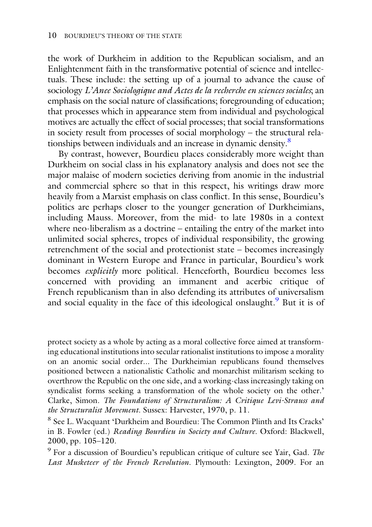the work of Durkheim in addition to the Republican socialism, and an Enlightenment faith in the transformative potential of science and intellectuals. These include: the setting up of a journal to advance the cause of sociology L'Anee Sociologique and Actes de la recherche en sciences sociales, an emphasis on the social nature of classifications; foregrounding of education; that processes which in appearance stem from individual and psychological motives are actually the effect of social processes; that social transformations in society result from processes of social morphology – the structural relationships between individuals and an increase in dynamic density.8

By contrast, however, Bourdieu places considerably more weight than Durkheim on social class in his explanatory analysis and does not see the major malaise of modern societies deriving from anomie in the industrial and commercial sphere so that in this respect, his writings draw more heavily from a Marxist emphasis on class conflict. In this sense, Bourdieu's politics are perhaps closer to the younger generation of Durkheimians, including Mauss. Moreover, from the mid- to late 1980s in a context where neo-liberalism as a doctrine – entailing the entry of the market into unlimited social spheres, tropes of individual responsibility, the growing retrenchment of the social and protectionist state – becomes increasingly dominant in Western Europe and France in particular, Bourdieu's work becomes explicitly more political. Henceforth, Bourdieu becomes less concerned with providing an immanent and acerbic critique of French republicanism than in also defending its attributes of universalism and social equality in the face of this ideological onslaught.<sup>9</sup> But it is of

protect society as a whole by acting as a moral collective force aimed at transforming educational institutions into secular rationalist institutions to impose a morality on an anomic social order... The Durkheimian republicans found themselves positioned between a nationalistic Catholic and monarchist militarism seeking to overthrow the Republic on the one side, and a working-class increasingly taking on syndicalist forms seeking a transformation of the whole society on the other.' Clarke, Simon. The Foundations of Structuralism: A Critique Levi-Strauss and the Structuralist Movement. Sussex: Harvester, 1970, p. 11.

<sup>8</sup> See L. Wacquant 'Durkheim and Bourdieu: The Common Plinth and Its Cracks' in B. Fowler (ed.) Reading Bourdieu in Society and Culture. Oxford: Blackwell, 2000, pp. 105–120.

 $9$  For a discussion of Bourdieu's republican critique of culture see Yair, Gad. The Last Musketeer of the French Revolution. Plymouth: Lexington, 2009. For an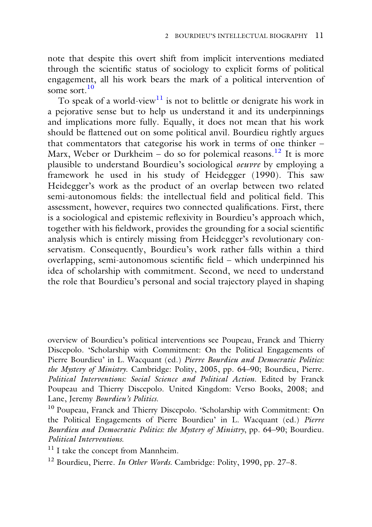note that despite this overt shift from implicit interventions mediated through the scientific status of sociology to explicit forms of political engagement, all his work bears the mark of a political intervention of some sort.10

To speak of a world-view<sup>11</sup> is not to belittle or denigrate his work in a pejorative sense but to help us understand it and its underpinnings and implications more fully. Equally, it does not mean that his work should be flattened out on some political anvil. Bourdieu rightly argues that commentators that categorise his work in terms of one thinker – Marx, Weber or Durkheim – do so for polemical reasons.<sup>12</sup> It is more plausible to understand Bourdieu's sociological oeuvre by employing a framework he used in his study of Heidegger (1990). This saw Heidegger's work as the product of an overlap between two related semi-autonomous fields: the intellectual field and political field. This assessment, however, requires two connected qualifications. First, there is a sociological and epistemic reflexivity in Bourdieu's approach which, together with his fieldwork, provides the grounding for a social scientific analysis which is entirely missing from Heidegger's revolutionary conservatism. Consequently, Bourdieu's work rather falls within a third overlapping, semi-autonomous scientific field – which underpinned his idea of scholarship with commitment. Second, we need to understand the role that Bourdieu's personal and social trajectory played in shaping

overview of Bourdieu's political interventions see Poupeau, Franck and Thierry Discepolo. 'Scholarship with Commitment: On the Political Engagements of Pierre Bourdieu' in L. Wacquant (ed.) Pierre Bourdieu and Democratic Politics: the Mystery of Ministry. Cambridge: Polity, 2005, pp. 64-90; Bourdieu, Pierre. Political Interventions: Social Science and Political Action. Edited by Franck Poupeau and Thierry Discepolo. United Kingdom: Verso Books, 2008; and Lane, Jeremy Bourdieu's Politics.

<sup>10</sup> Poupeau, Franck and Thierry Discepolo. 'Scholarship with Commitment: On the Political Engagements of Pierre Bourdieu' in L. Wacquant (ed.) Pierre Bourdieu and Democratic Politics: the Mystery of Ministry, pp. 64–90; Bourdieu. Political Interventions.

<sup>11</sup> I take the concept from Mannheim.

<sup>12</sup> Bourdieu, Pierre. *In Other Words*. Cambridge: Polity, 1990, pp. 27–8.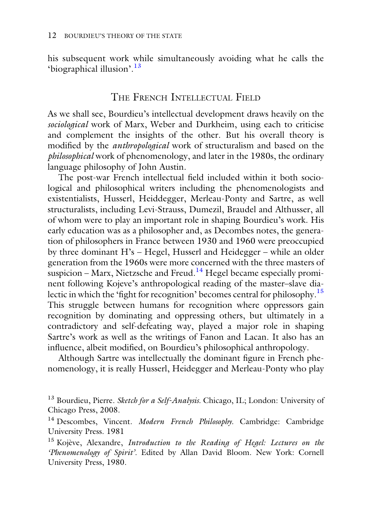his subsequent work while simultaneously avoiding what he calls the 'biographical illusion'. 13

# THE FRENCH INTELLECTUAL FIELD

As we shall see, Bourdieu's intellectual development draws heavily on the sociological work of Marx, Weber and Durkheim, using each to criticise and complement the insights of the other. But his overall theory is modified by the anthropological work of structuralism and based on the philosophical work of phenomenology, and later in the 1980s, the ordinary language philosophy of John Austin.

The post-war French intellectual field included within it both sociological and philosophical writers including the phenomenologists and existentialists, Husserl, Heiddegger, Merleau-Ponty and Sartre, as well structuralists, including Levi-Strauss, Dumezil, Braudel and Althusser, all of whom were to play an important role in shaping Bourdieu's work. His early education was as a philosopher and, as Decombes notes, the generation of philosophers in France between 1930 and 1960 were preoccupied by three dominant H's – Hegel, Husserl and Heidegger – while an older generation from the 1960s were more concerned with the three masters of suspicion – Marx, Nietzsche and Freud.<sup>14</sup> Hegel became especially prominent following Kojeve's anthropological reading of the master–slave dialectic in which the 'fight for recognition' becomes central for philosophy.15 This struggle between humans for recognition where oppressors gain recognition by dominating and oppressing others, but ultimately in a contradictory and self-defeating way, played a major role in shaping Sartre's work as well as the writings of Fanon and Lacan. It also has an influence, albeit modified, on Bourdieu's philosophical anthropology.

Although Sartre was intellectually the dominant figure in French phenomenology, it is really Husserl, Heidegger and Merleau-Ponty who play

<sup>&</sup>lt;sup>13</sup> Bourdieu, Pierre. Sketch for a Self-Analysis. Chicago, IL; London: University of Chicago Press, 2008.

<sup>&</sup>lt;sup>14</sup> Descombes, Vincent. *Modern French Philosophy*. Cambridge: Cambridge University Press. 1981

<sup>&</sup>lt;sup>15</sup> Kojève, Alexandre, Introduction to the Reading of Hegel: Lectures on the 'Phenomenology of Spirit'. Edited by Allan David Bloom. New York: Cornell University Press, 1980.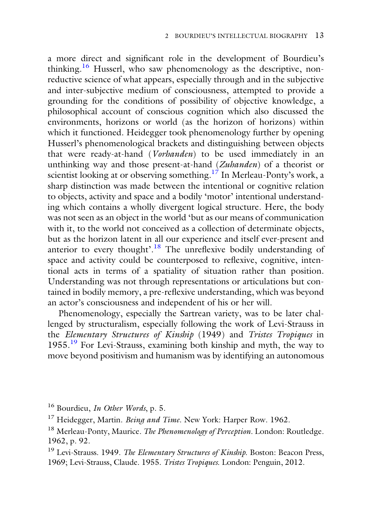a more direct and significant role in the development of Bourdieu's thinking.<sup>16</sup> Husserl, who saw phenomenology as the descriptive, nonreductive science of what appears, especially through and in the subjective and inter-subjective medium of consciousness, attempted to provide a grounding for the conditions of possibility of objective knowledge, a philosophical account of conscious cognition which also discussed the environments, horizons or world (as the horizon of horizons) within which it functioned. Heidegger took phenomenology further by opening Husserl's phenomenological brackets and distinguishing between objects that were ready-at-hand (Vorhanden) to be used immediately in an unthinking way and those present-at-hand (*Zuhanden*) of a theorist or scientist looking at or observing something.<sup>17</sup> In Merleau-Ponty's work, a sharp distinction was made between the intentional or cognitive relation to objects, activity and space and a bodily 'motor' intentional understanding which contains a wholly divergent logical structure. Here, the body was not seen as an object in the world 'but as our means of communication with it, to the world not conceived as a collection of determinate objects, but as the horizon latent in all our experience and itself ever-present and anterior to every thought'.<sup>18</sup> The unreflexive bodily understanding of space and activity could be counterposed to reflexive, cognitive, intentional acts in terms of a spatiality of situation rather than position. Understanding was not through representations or articulations but contained in bodily memory, a pre-reflexive understanding, which was beyond an actor's consciousness and independent of his or her will.

Phenomenology, especially the Sartrean variety, was to be later challenged by structuralism, especially following the work of Levi-Strauss in the Elementary Structures of Kinship (1949) and Tristes Tropiques in 1955.<sup>19</sup> For Levi-Strauss, examining both kinship and myth, the way to move beyond positivism and humanism was by identifying an autonomous

<sup>16</sup> Bourdieu, *In Other Words*, p. 5.

<sup>17</sup> Heidegger, Martin. Being and Time. New York: Harper Row. 1962.

<sup>18</sup> Merleau-Ponty, Maurice. The Phenomenology of Perception. London: Routledge. 1962, p. 92.

<sup>19</sup> Levi-Strauss. 1949. The Elementary Structures of Kinship. Boston: Beacon Press, 1969; Levi-Strauss, Claude. 1955. Tristes Tropiques. London: Penguin, 2012.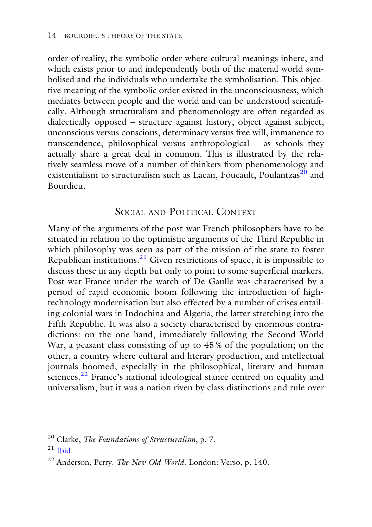order of reality, the symbolic order where cultural meanings inhere, and which exists prior to and independently both of the material world symbolised and the individuals who undertake the symbolisation. This objective meaning of the symbolic order existed in the unconsciousness, which mediates between people and the world and can be understood scientifically. Although structuralism and phenomenology are often regarded as dialectically opposed – structure against history, object against subject, unconscious versus conscious, determinacy versus free will, immanence to transcendence, philosophical versus anthropological – as schools they actually share a great deal in common. This is illustrated by the relatively seamless move of a number of thinkers from phenomenology and existentialism to structuralism such as Lacan, Foucault, Poulantzas<sup>20</sup> and Bourdieu.

# SOCIAL AND POLITICAL CONTEXT

Many of the arguments of the post-war French philosophers have to be situated in relation to the optimistic arguments of the Third Republic in which philosophy was seen as part of the mission of the state to foster Republican institutions.<sup>21</sup> Given restrictions of space, it is impossible to discuss these in any depth but only to point to some superficial markers. Post-war France under the watch of De Gaulle was characterised by a period of rapid economic boom following the introduction of hightechnology modernisation but also effected by a number of crises entailing colonial wars in Indochina and Algeria, the latter stretching into the Fifth Republic. It was also a society characterised by enormous contradictions: on the one hand, immediately following the Second World War, a peasant class consisting of up to 45 % of the population; on the other, a country where cultural and literary production, and intellectual journals boomed, especially in the philosophical, literary and human sciences.<sup>22</sup> France's national ideological stance centred on equality and universalism, but it was a nation riven by class distinctions and rule over

 $^{20}$  Clarke, The Foundations of Structuralism, p. 7.

 $21$  Ibid.

<sup>22</sup> Anderson, Perry. The New Old World. London: Verso, p. 140.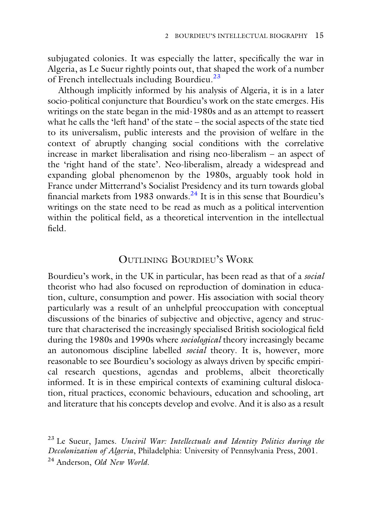subjugated colonies. It was especially the latter, specifically the war in Algeria, as Le Sueur rightly points out, that shaped the work of a number of French intellectuals including Bourdieu.<sup>23</sup>

Although implicitly informed by his analysis of Algeria, it is in a later socio-political conjuncture that Bourdieu's work on the state emerges. His writings on the state began in the mid-1980s and as an attempt to reassert what he calls the 'left hand' of the state – the social aspects of the state tied to its universalism, public interests and the provision of welfare in the context of abruptly changing social conditions with the correlative increase in market liberalisation and rising neo-liberalism – an aspect of the 'right hand of the state'. Neo-liberalism, already a widespread and expanding global phenomenon by the 1980s, arguably took hold in France under Mitterrand's Socialist Presidency and its turn towards global financial markets from 1983 onwards.<sup>24</sup> It is in this sense that Bourdieu's writings on the state need to be read as much as a political intervention within the political field, as a theoretical intervention in the intellectual field.

# OUTLINING BOURDIEU'S WORK

Bourdieu's work, in the UK in particular, has been read as that of a social theorist who had also focused on reproduction of domination in education, culture, consumption and power. His association with social theory particularly was a result of an unhelpful preoccupation with conceptual discussions of the binaries of subjective and objective, agency and structure that characterised the increasingly specialised British sociological field during the 1980s and 1990s where sociological theory increasingly became an autonomous discipline labelled *social* theory. It is, however, more reasonable to see Bourdieu's sociology as always driven by specific empirical research questions, agendas and problems, albeit theoretically informed. It is in these empirical contexts of examining cultural dislocation, ritual practices, economic behaviours, education and schooling, art and literature that his concepts develop and evolve. And it is also as a result

 $23$  Le Sueur, James. Uncivil War: Intellectuals and Identity Politics during the Decolonization of Algeria, Philadelphia: University of Pennsylvania Press, 2001. <sup>24</sup> Anderson, Old New World.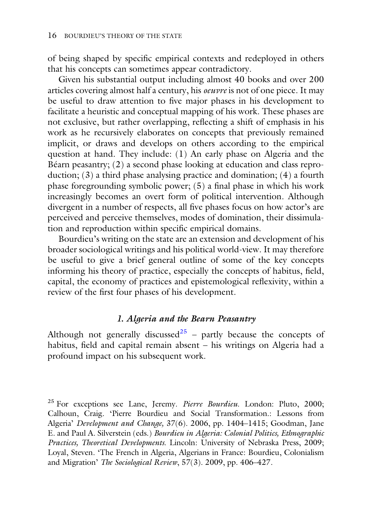of being shaped by specific empirical contexts and redeployed in others that his concepts can sometimes appear contradictory.

Given his substantial output including almost 40 books and over 200 articles covering almost half a century, his oeuvre is not of one piece. It may be useful to draw attention to five major phases in his development to facilitate a heuristic and conceptual mapping of his work. These phases are not exclusive, but rather overlapping, reflecting a shift of emphasis in his work as he recursively elaborates on concepts that previously remained implicit, or draws and develops on others according to the empirical question at hand. They include: (1) An early phase on Algeria and the Béarn peasantry; (2) a second phase looking at education and class reproduction; (3) a third phase analysing practice and domination; (4) a fourth phase foregrounding symbolic power; (5) a final phase in which his work increasingly becomes an overt form of political intervention. Although divergent in a number of respects, all five phases focus on how actor's are perceived and perceive themselves, modes of domination, their dissimulation and reproduction within specific empirical domains.

Bourdieu's writing on the state are an extension and development of his broader sociological writings and his political world-view. It may therefore be useful to give a brief general outline of some of the key concepts informing his theory of practice, especially the concepts of habitus, field, capital, the economy of practices and epistemological reflexivity, within a review of the first four phases of his development.

## 1. Algeria and the Bearn Peasantry

Although not generally discussed $2^5$  – partly because the concepts of habitus, field and capital remain absent – his writings on Algeria had a profound impact on his subsequent work.

<sup>&</sup>lt;sup>25</sup> For exceptions see Lane, Jeremy. Pierre Bourdieu. London: Pluto, 2000; Calhoun, Craig. 'Pierre Bourdieu and Social Transformation.: Lessons from Algeria' Development and Change, 37(6). 2006, pp. 1404–1415; Goodman, Jane E. and Paul A. Silverstein (eds.) Bourdieu in Algeria: Colonial Politics, Ethnographic Practices, Theoretical Developments. Lincoln: University of Nebraska Press, 2009; Loyal, Steven. 'The French in Algeria, Algerians in France: Bourdieu, Colonialism and Migration' The Sociological Review, 57(3). 2009, pp. 406–427.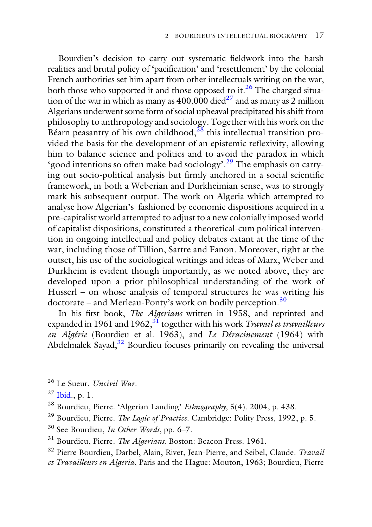Bourdieu's decision to carry out systematic fieldwork into the harsh realities and brutal policy of 'pacification' and 'resettlement' by the colonial French authorities set him apart from other intellectuals writing on the war, both those who supported it and those opposed to it.<sup>26</sup> The charged situation of the war in which as many as  $400,000$  died<sup>27</sup> and as many as 2 million Algerians underwent some form of social upheaval precipitated his shift from philosophy to anthropology and sociology. Together with his work on the Béarn peasantry of his own childhood,  $\frac{28}{3}$  this intellectual transition provided the basis for the development of an epistemic reflexivity, allowing him to balance science and politics and to avoid the paradox in which 'good intentions so often make bad sociology'.<sup>29</sup> The emphasis on carrying out socio-political analysis but firmly anchored in a social scientific framework, in both a Weberian and Durkheimian sense, was to strongly mark his subsequent output. The work on Algeria which attempted to analyse how Algerian's fashioned by economic dispositions acquired in a pre-capitalist world attempted to adjust to a new colonially imposed world of capitalist dispositions, constituted a theoretical-cum political intervention in ongoing intellectual and policy debates extant at the time of the war, including those of Tillion, Sartre and Fanon. Moreover, right at the outset, his use of the sociological writings and ideas of Marx, Weber and Durkheim is evident though importantly, as we noted above, they are developed upon a prior philosophical understanding of the work of Husserl – on whose analysis of temporal structures he was writing his doctorate – and Merleau-Ponty's work on bodily perception.<sup>30</sup>

In his first book, *The Algerians* written in 1958, and reprinted and expanded in 1961 and 1962,<sup>31</sup> together with his work *Travail et travailleurs* en Algérie (Bourdieu et al. 1963), and Le Déracinement (1964) with Abdelmalek Sayad,<sup>32</sup> Bourdieu focuses primarily on revealing the universal

<sup>26</sup> Le Sueur. Uncivil War.

- <sup>29</sup> Bourdieu, Pierre. *The Logic of Practice*. Cambridge: Polity Press, 1992, p. 5.
- $30$  See Bourdieu, In Other Words, pp. 6–7.
- <sup>31</sup> Bourdieu, Pierre. The Algerians. Boston: Beacon Press. 1961.
- <sup>32</sup> Pierre Bourdieu, Darbel, Alain, Rivet, Jean-Pierre, and Seibel, Claude. Travail
- et Travailleurs en Algeria, Paris and the Hague: Mouton, 1963; Bourdieu, Pierre

 $^{27}$  Ibid., p. 1.

<sup>&</sup>lt;sup>28</sup> Bourdieu, Pierre. 'Algerian Landing' Ethnography, 5(4). 2004, p. 438.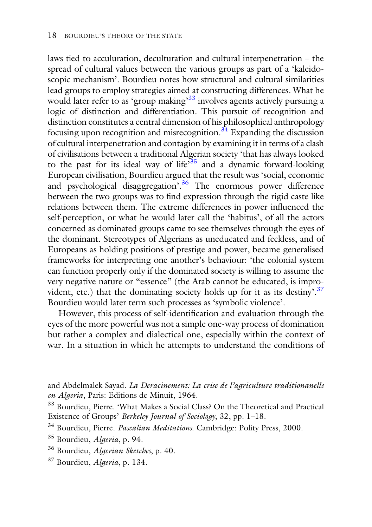laws tied to acculuration, deculturation and cultural interpenetration – the spread of cultural values between the various groups as part of a 'kaleidoscopic mechanism'. Bourdieu notes how structural and cultural similarities lead groups to employ strategies aimed at constructing differences. What he would later refer to as 'group making'<sup>33</sup> involves agents actively pursuing a logic of distinction and differentiation. This pursuit of recognition and distinction constitutes a central dimension of his philosophical anthropology focusing upon recognition and misrecognition.<sup>34</sup> Expanding the discussion of cultural interpenetration and contagion by examining it in terms of a clash of civilisations between a traditional Algerian society 'that has always looked to the past for its ideal way of life<sup>35</sup> and a dynamic forward-looking European civilisation, Bourdieu argued that the result was 'social, economic and psychological disaggregation'.<sup>36</sup> The enormous power difference between the two groups was to find expression through the rigid caste like relations between them. The extreme differences in power influenced the self-perception, or what he would later call the 'habitus', of all the actors concerned as dominated groups came to see themselves through the eyes of the dominant. Stereotypes of Algerians as uneducated and feckless, and of Europeans as holding positions of prestige and power, became generalised frameworks for interpreting one another's behaviour: 'the colonial system can function properly only if the dominated society is willing to assume the very negative nature or "essence" (the Arab cannot be educated, is improvident, etc.) that the dominating society holds up for it as its destiny'.<sup>37</sup> Bourdieu would later term such processes as 'symbolic violence'.

However, this process of self-identification and evaluation through the eyes of the more powerful was not a simple one-way process of domination but rather a complex and dialectical one, especially within the context of war. In a situation in which he attempts to understand the conditions of

and Abdelmalek Sayad. La Deracinement: La crise de l'agriculture traditionanelle en Algeria, Paris: Editions de Minuit, 1964.

<sup>33</sup> Bourdieu, Pierre. 'What Makes a Social Class? On the Theoretical and Practical Existence of Groups' Berkeley Journal of Sociology, 32, pp. 1–18.

<sup>34</sup> Bourdieu, Pierre. Pascalian Meditations. Cambridge: Polity Press, 2000.

<sup>37</sup> Bourdieu, Algeria, p. 134.

<sup>35</sup> Bourdieu, Algeria, p. 94.

<sup>36</sup> Bourdieu, Algerian Sketches, p. 40.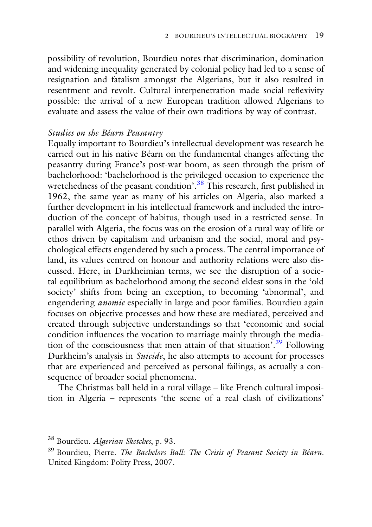possibility of revolution, Bourdieu notes that discrimination, domination and widening inequality generated by colonial policy had led to a sense of resignation and fatalism amongst the Algerians, but it also resulted in resentment and revolt. Cultural interpenetration made social reflexivity possible: the arrival of a new European tradition allowed Algerians to evaluate and assess the value of their own traditions by way of contrast.

#### Studies on the Béarn Peasantry

Equally important to Bourdieu's intellectual development was research he carried out in his native Béarn on the fundamental changes affecting the peasantry during France's post-war boom, as seen through the prism of bachelorhood: 'bachelorhood is the privileged occasion to experience the wretchedness of the peasant condition'.<sup>38</sup> This research, first published in 1962, the same year as many of his articles on Algeria, also marked a further development in his intellectual framework and included the introduction of the concept of habitus, though used in a restricted sense. In parallel with Algeria, the focus was on the erosion of a rural way of life or ethos driven by capitalism and urbanism and the social, moral and psychological effects engendered by such a process. The central importance of land, its values centred on honour and authority relations were also discussed. Here, in Durkheimian terms, we see the disruption of a societal equilibrium as bachelorhood among the second eldest sons in the 'old society' shifts from being an exception, to becoming 'abnormal', and engendering anomie especially in large and poor families. Bourdieu again focuses on objective processes and how these are mediated, perceived and created through subjective understandings so that 'economic and social condition influences the vocation to marriage mainly through the mediation of the consciousness that men attain of that situation'.<sup>39</sup> Following Durkheim's analysis in Suicide, he also attempts to account for processes that are experienced and perceived as personal failings, as actually a consequence of broader social phenomena.

The Christmas ball held in a rural village – like French cultural imposition in Algeria – represents 'the scene of a real clash of civilizations'

<sup>38</sup> Bourdieu. Algerian Sketches, p. 93.

<sup>&</sup>lt;sup>39</sup> Bourdieu, Pierre. The Bachelors Ball: The Crisis of Peasant Society in Béarn. United Kingdom: Polity Press, 2007.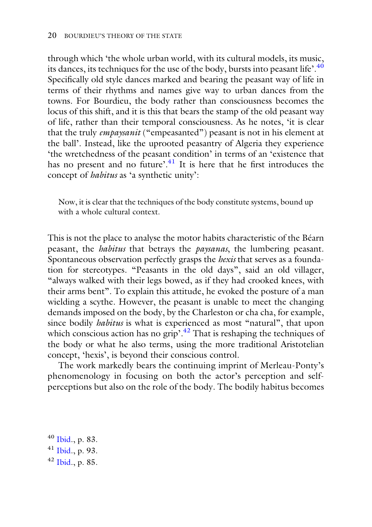through which 'the whole urban world, with its cultural models, its music, its dances, its techniques for the use of the body, bursts into peasant life'.<sup>40</sup> Specifically old style dances marked and bearing the peasant way of life in terms of their rhythms and names give way to urban dances from the towns. For Bourdieu, the body rather than consciousness becomes the locus of this shift, and it is this that bears the stamp of the old peasant way of life, rather than their temporal consciousness. As he notes, 'it is clear that the truly *empaysanit* ("empeasanted") peasant is not in his element at the ball'. Instead, like the uprooted peasantry of Algeria they experience 'the wretchedness of the peasant condition' in terms of an 'existence that has no present and no future'.<sup>41</sup> It is here that he first introduces the concept of habitus as 'a synthetic unity':

Now, it is clear that the techniques of the body constitute systems, bound up with a whole cultural context.

This is not the place to analyse the motor habits characteristic of the Béarn peasant, the *habitus* that betrays the *paysanas*, the lumbering peasant. Spontaneous observation perfectly grasps the *hexis* that serves as a foundation for stereotypes. "Peasants in the old days", said an old villager, "always walked with their legs bowed, as if they had crooked knees, with their arms bent". To explain this attitude, he evoked the posture of a man wielding a scythe. However, the peasant is unable to meet the changing demands imposed on the body, by the Charleston or cha cha, for example, since bodily *habitus* is what is experienced as most "natural", that upon which conscious action has no grip'.<sup>42</sup> That is reshaping the techniques of the body or what he also terms, using the more traditional Aristotelian concept, 'hexis', is beyond their conscious control.

The work markedly bears the continuing imprint of Merleau-Ponty's phenomenology in focusing on both the actor's perception and selfperceptions but also on the role of the body. The bodily habitus becomes

<sup>40</sup> Ibid., p. 83. <sup>41</sup> Ibid., p. 93. <sup>42</sup> Ibid., p. 85.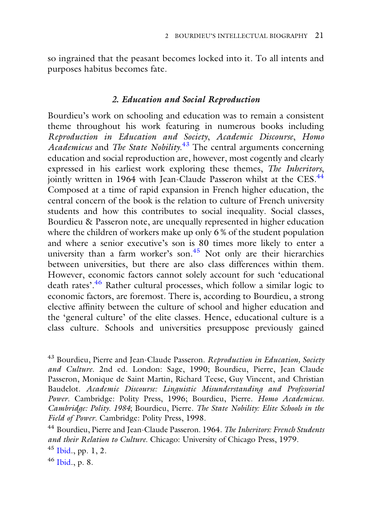so ingrained that the peasant becomes locked into it. To all intents and purposes habitus becomes fate.

## 2. Education and Social Reproduction

Bourdieu's work on schooling and education was to remain a consistent theme throughout his work featuring in numerous books including Reproduction in Education and Society, Academic Discourse, Homo Academicus and The State Nobility.<sup>43</sup> The central arguments concerning education and social reproduction are, however, most cogently and clearly expressed in his earliest work exploring these themes, The Inheritors, jointly written in 1964 with Jean-Claude Passeron whilst at the CES. $44$ Composed at a time of rapid expansion in French higher education, the central concern of the book is the relation to culture of French university students and how this contributes to social inequality. Social classes, Bourdieu & Passeron note, are unequally represented in higher education where the children of workers make up only 6 % of the student population and where a senior executive's son is 80 times more likely to enter a university than a farm worker's son. $45$  Not only are their hierarchies between universities, but there are also class differences within them. However, economic factors cannot solely account for such 'educational death rates'.<sup>46</sup> Rather cultural processes, which follow a similar logic to economic factors, are foremost. There is, according to Bourdieu, a strong elective affinity between the culture of school and higher education and the 'general culture' of the elite classes. Hence, educational culture is a class culture. Schools and universities presuppose previously gained

<sup>43</sup> Bourdieu, Pierre and Jean-Claude Passeron. Reproduction in Education, Society and Culture. 2nd ed. London: Sage, 1990; Bourdieu, Pierre, Jean Claude Passeron, Monique de Saint Martin, Richard Teese, Guy Vincent, and Christian Baudelot. Academic Discourse: Linguistic Misunderstanding and Professorial Power. Cambridge: Polity Press, 1996; Bourdieu, Pierre. Homo Academicus. Cambridge: Polity. 1984; Bourdieu, Pierre. The State Nobility: Elite Schools in the Field of Power. Cambridge: Polity Press, 1998.

<sup>44</sup> Bourdieu, Pierre and Jean-Claude Passeron. 1964. The Inheritors: French Students and their Relation to Culture. Chicago: University of Chicago Press, 1979.

 $45$  Ibid., pp. 1, 2.

 $46$  Ibid., p. 8.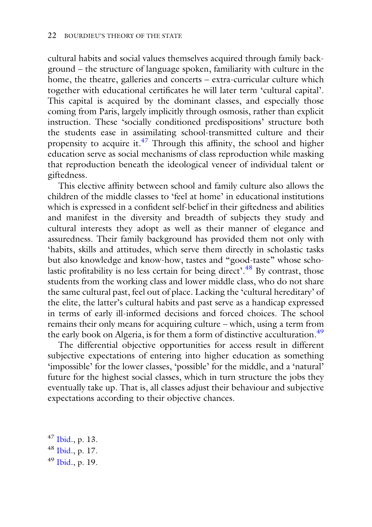cultural habits and social values themselves acquired through family background – the structure of language spoken, familiarity with culture in the home, the theatre, galleries and concerts – extra-curricular culture which together with educational certificates he will later term 'cultural capital'. This capital is acquired by the dominant classes, and especially those coming from Paris, largely implicitly through osmosis, rather than explicit instruction. These 'socially conditioned predispositions' structure both the students ease in assimilating school-transmitted culture and their propensity to acquire it.<sup>47</sup> Through this affinity, the school and higher education serve as social mechanisms of class reproduction while masking that reproduction beneath the ideological veneer of individual talent or giftedness.

This elective affinity between school and family culture also allows the children of the middle classes to 'feel at home' in educational institutions which is expressed in a confident self-belief in their giftedness and abilities and manifest in the diversity and breadth of subjects they study and cultural interests they adopt as well as their manner of elegance and assuredness. Their family background has provided them not only with 'habits, skills and attitudes, which serve them directly in scholastic tasks but also knowledge and know-how, tastes and "good-taste" whose scholastic profitability is no less certain for being direct'.<sup>48</sup> By contrast, those students from the working class and lower middle class, who do not share the same cultural past, feel out of place. Lacking the 'cultural hereditary' of the elite, the latter's cultural habits and past serve as a handicap expressed in terms of early ill-informed decisions and forced choices. The school remains their only means for acquiring culture – which, using a term from the early book on Algeria, is for them a form of distinctive acculturation.49

The differential objective opportunities for access result in different subjective expectations of entering into higher education as something 'impossible' for the lower classes, 'possible' for the middle, and a 'natural' future for the highest social classes, which in turn structure the jobs they eventually take up. That is, all classes adjust their behaviour and subjective expectations according to their objective chances.

 $47$  Ibid., p. 13. <sup>48</sup> Ibid., p. 17.  $49$  Ibid., p. 19.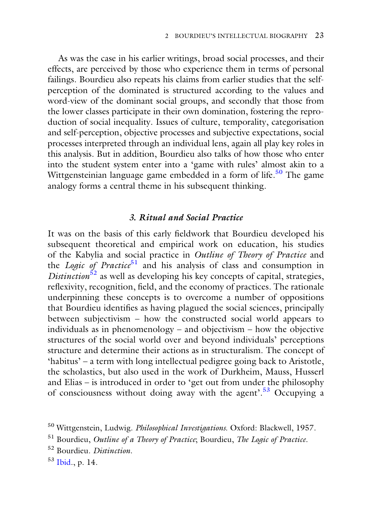As was the case in his earlier writings, broad social processes, and their effects, are perceived by those who experience them in terms of personal failings. Bourdieu also repeats his claims from earlier studies that the selfperception of the dominated is structured according to the values and word-view of the dominant social groups, and secondly that those from the lower classes participate in their own domination, fostering the reproduction of social inequality. Issues of culture, temporality, categorisation and self-perception, objective processes and subjective expectations, social processes interpreted through an individual lens, again all play key roles in this analysis. But in addition, Bourdieu also talks of how those who enter into the student system enter into a 'game with rules' almost akin to a Wittgensteinian language game embedded in a form of life.<sup>50</sup> The game analogy forms a central theme in his subsequent thinking.

### 3. Ritual and Social Practice

It was on the basis of this early fieldwork that Bourdieu developed his subsequent theoretical and empirical work on education, his studies of the Kabylia and social practice in Outline of Theory of Practice and the Logic of Practice<sup>51</sup> and his analysis of class and consumption in Distinction<sup>52</sup> as well as developing his key concepts of capital, strategies, reflexivity, recognition, field, and the economy of practices. The rationale underpinning these concepts is to overcome a number of oppositions that Bourdieu identifies as having plagued the social sciences, principally between subjectivism – how the constructed social world appears to individuals as in phenomenology – and objectivism – how the objective structures of the social world over and beyond individuals' perceptions structure and determine their actions as in structuralism. The concept of 'habitus' – a term with long intellectual pedigree going back to Aristotle, the scholastics, but also used in the work of Durkheim, Mauss, Husserl and Elias – is introduced in order to 'get out from under the philosophy of consciousness without doing away with the agent'.<sup>53</sup> Occupying a

<sup>50</sup> Wittgenstein, Ludwig. Philosophical Investigations. Oxford: Blackwell, 1957.

<sup>51</sup> Bourdieu, Outline of a Theory of Practice; Bourdieu, The Logic of Practice.

<sup>52</sup> Bourdieu. Distinction.

<sup>53</sup> Ibid., p. 14.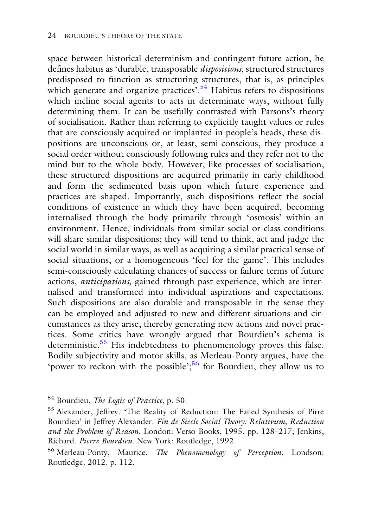space between historical determinism and contingent future action, he defines habitus as 'durable, transposable *dispositions*, structured structures predisposed to function as structuring structures, that is, as principles which generate and organize practices'.<sup>54</sup> Habitus refers to dispositions which incline social agents to acts in determinate ways, without fully determining them. It can be usefully contrasted with Parsons's theory of socialisation. Rather than referring to explicitly taught values or rules that are consciously acquired or implanted in people's heads, these dispositions are unconscious or, at least, semi-conscious, they produce a social order without consciously following rules and they refer not to the mind but to the whole body. However, like processes of socialisation, these structured dispositions are acquired primarily in early childhood and form the sedimented basis upon which future experience and practices are shaped. Importantly, such dispositions reflect the social conditions of existence in which they have been acquired, becoming internalised through the body primarily through 'osmosis' within an environment. Hence, individuals from similar social or class conditions will share similar dispositions; they will tend to think, act and judge the social world in similar ways, as well as acquiring a similar practical sense of social situations, or a homogeneous 'feel for the game'. This includes semi-consciously calculating chances of success or failure terms of future actions, anticipations, gained through past experience, which are internalised and transformed into individual aspirations and expectations. Such dispositions are also durable and transposable in the sense they can be employed and adjusted to new and different situations and circumstances as they arise, thereby generating new actions and novel practices. Some critics have wrongly argued that Bourdieu's schema is deterministic.<sup>55</sup> His indebtedness to phenomenology proves this false. Bodily subjectivity and motor skills, as Merleau-Ponty argues, have the 'power to reckon with the possible';<sup>56</sup> for Bourdieu, they allow us to

<sup>54</sup> Bourdieu, The Logic of Practice, p. 50.

<sup>55</sup> Alexander, Jeffrey. 'The Reality of Reduction: The Failed Synthesis of Pirre Bourdieu' in Jeffrey Alexander. Fin de Siecle Social Theory: Relativism, Reduction and the Problem of Reason. London: Verso Books, 1995, pp. 128–217; Jenkins, Richard. Pierre Bourdieu. New York: Routledge, 1992.

<sup>56</sup> Merleau-Ponty, Maurice. The Phenomenology of Perception, Londson: Routledge. 2012. p. 112.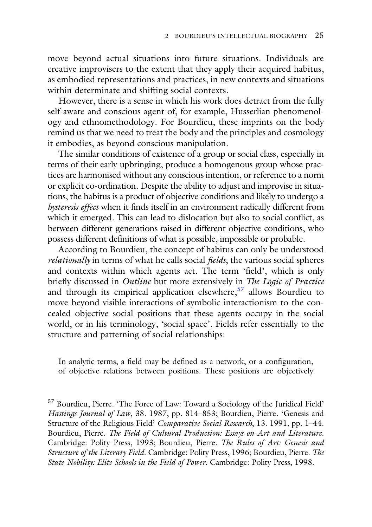move beyond actual situations into future situations. Individuals are creative improvisers to the extent that they apply their acquired habitus, as embodied representations and practices, in new contexts and situations within determinate and shifting social contexts.

However, there is a sense in which his work does detract from the fully self-aware and conscious agent of, for example, Husserlian phenomenology and ethnomethodology. For Bourdieu, these imprints on the body remind us that we need to treat the body and the principles and cosmology it embodies, as beyond conscious manipulation.

The similar conditions of existence of a group or social class, especially in terms of their early upbringing, produce a homogenous group whose practices are harmonised without any conscious intention, or reference to a norm or explicit co-ordination. Despite the ability to adjust and improvise in situations, the habitus is a product of objective conditions and likely to undergo a hysteresis effect when it finds itself in an environment radically different from which it emerged. This can lead to dislocation but also to social conflict, as between different generations raised in different objective conditions, who possess different definitions of what is possible, impossible or probable.

According to Bourdieu, the concept of habitus can only be understood relationally in terms of what he calls social *fields*, the various social spheres and contexts within which agents act. The term 'field', which is only briefly discussed in Outline but more extensively in The Logic of Practice and through its empirical application elsewhere,<sup>57</sup> allows Bourdieu to move beyond visible interactions of symbolic interactionism to the concealed objective social positions that these agents occupy in the social world, or in his terminology, 'social space'. Fields refer essentially to the structure and patterning of social relationships:

In analytic terms, a field may be defined as a network, or a configuration, of objective relations between positions. These positions are objectively

<sup>57</sup> Bourdieu, Pierre. 'The Force of Law: Toward a Sociology of the Juridical Field' Hastings Journal of Law, 38. 1987, pp. 814–853; Bourdieu, Pierre. 'Genesis and Structure of the Religious Field' Comparative Social Research, 13. 1991, pp. 1–44. Bourdieu, Pierre. The Field of Cultural Production: Essays on Art and Literature. Cambridge: Polity Press, 1993; Bourdieu, Pierre. The Rules of Art: Genesis and Structure of the Literary Field. Cambridge: Polity Press, 1996; Bourdieu, Pierre. The State Nobility: Elite Schools in the Field of Power. Cambridge: Polity Press, 1998.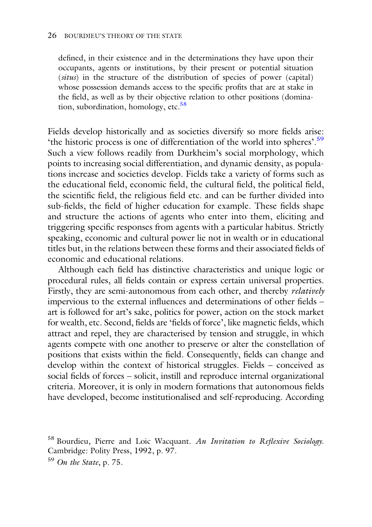defined, in their existence and in the determinations they have upon their occupants, agents or institutions, by their present or potential situation (situs) in the structure of the distribution of species of power (capital) whose possession demands access to the specific profits that are at stake in the field, as well as by their objective relation to other positions (domination, subordination, homology, etc.<sup>58</sup>

Fields develop historically and as societies diversify so more fields arise: 'the historic process is one of differentiation of the world into spheres'.<sup>59</sup> Such a view follows readily from Durkheim's social morphology, which points to increasing social differentiation, and dynamic density, as populations increase and societies develop. Fields take a variety of forms such as the educational field, economic field, the cultural field, the political field, the scientific field, the religious field etc. and can be further divided into sub-fields, the field of higher education for example. These fields shape and structure the actions of agents who enter into them, eliciting and triggering specific responses from agents with a particular habitus. Strictly speaking, economic and cultural power lie not in wealth or in educational titles but, in the relations between these forms and their associated fields of economic and educational relations.

Although each field has distinctive characteristics and unique logic or procedural rules, all fields contain or express certain universal properties. Firstly, they are semi-autonomous from each other, and thereby relatively impervious to the external influences and determinations of other fields – art is followed for art's sake, politics for power, action on the stock market for wealth, etc. Second, fields are 'fields of force', like magnetic fields, which attract and repel, they are characterised by tension and struggle, in which agents compete with one another to preserve or alter the constellation of positions that exists within the field. Consequently, fields can change and develop within the context of historical struggles. Fields – conceived as social fields of forces – solicit, instill and reproduce internal organizational criteria. Moreover, it is only in modern formations that autonomous fields have developed, become institutionalised and self-reproducing. According

<sup>58</sup> Bourdieu, Pierre and Loic Wacquant. An Invitation to Reflexive Sociology. Cambridge: Polity Press, 1992, p. 97.

<sup>59</sup> On the State, p. 75.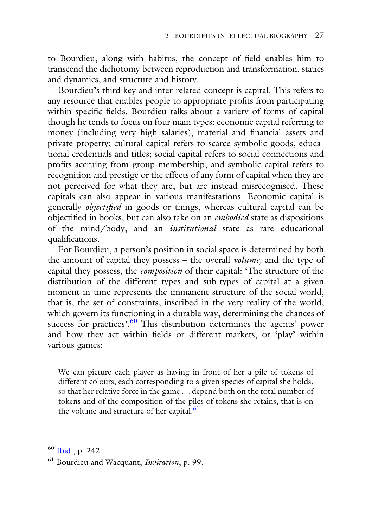to Bourdieu, along with habitus, the concept of field enables him to transcend the dichotomy between reproduction and transformation, statics and dynamics, and structure and history.

Bourdieu's third key and inter-related concept is capital. This refers to any resource that enables people to appropriate profits from participating within specific fields. Bourdieu talks about a variety of forms of capital though he tends to focus on four main types: economic capital referring to money (including very high salaries), material and financial assets and private property; cultural capital refers to scarce symbolic goods, educational credentials and titles; social capital refers to social connections and profits accruing from group membership; and symbolic capital refers to recognition and prestige or the effects of any form of capital when they are not perceived for what they are, but are instead misrecognised. These capitals can also appear in various manifestations. Economic capital is generally objectified in goods or things, whereas cultural capital can be objectified in books, but can also take on an embodied state as dispositions of the mind/body, and an institutional state as rare educational qualifications.

For Bourdieu, a person's position in social space is determined by both the amount of capital they possess – the overall volume, and the type of capital they possess, the composition of their capital: 'The structure of the distribution of the different types and sub-types of capital at a given moment in time represents the immanent structure of the social world, that is, the set of constraints, inscribed in the very reality of the world, which govern its functioning in a durable way, determining the chances of success for practices'.<sup>60</sup> This distribution determines the agents' power and how they act within fields or different markets, or 'play' within various games:

We can picture each player as having in front of her a pile of tokens of different colours, each corresponding to a given species of capital she holds, so that her relative force in the game ... depend both on the total number of tokens and of the composition of the piles of tokens she retains, that is on the volume and structure of her capital. $^{61}$ 

<sup>60</sup> Ibid., p. 242.

<sup>61</sup> Bourdieu and Wacquant, *Invitation*, p. 99.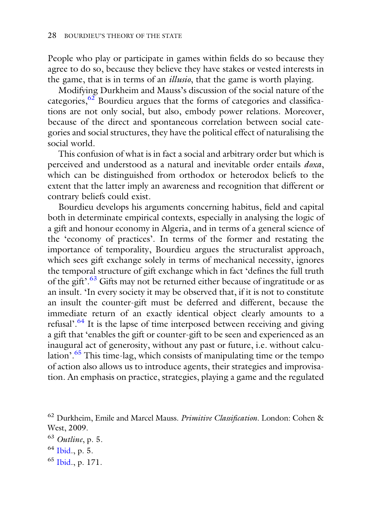People who play or participate in games within fields do so because they agree to do so, because they believe they have stakes or vested interests in the game, that is in terms of an illusio, that the game is worth playing.

Modifying Durkheim and Mauss's discussion of the social nature of the categories, $6^{\circ}$  Bourdieu argues that the forms of categories and classifications are not only social, but also, embody power relations. Moreover, because of the direct and spontaneous correlation between social categories and social structures, they have the political effect of naturalising the social world.

This confusion of what is in fact a social and arbitrary order but which is perceived and understood as a natural and inevitable order entails doxa, which can be distinguished from orthodox or heterodox beliefs to the extent that the latter imply an awareness and recognition that different or contrary beliefs could exist.

Bourdieu develops his arguments concerning habitus, field and capital both in determinate empirical contexts, especially in analysing the logic of a gift and honour economy in Algeria, and in terms of a general science of the 'economy of practices'. In terms of the former and restating the importance of temporality, Bourdieu argues the structuralist approach, which sees gift exchange solely in terms of mechanical necessity, ignores the temporal structure of gift exchange which in fact 'defines the full truth of the gift'.<sup>63</sup> Gifts may not be returned either because of ingratitude or as an insult. 'In every society it may be observed that, if it is not to constitute an insult the counter-gift must be deferred and different, because the immediate return of an exactly identical object clearly amounts to a refusal'.<sup>64</sup> It is the lapse of time interposed between receiving and giving a gift that 'enables the gift or counter-gift to be seen and experienced as an inaugural act of generosity, without any past or future, i.e. without calculation'.<sup>65</sup> This time-lag, which consists of manipulating time or the tempo of action also allows us to introduce agents, their strategies and improvisation. An emphasis on practice, strategies, playing a game and the regulated

<sup>&</sup>lt;sup>62</sup> Durkheim, Emile and Marcel Mauss. Primitive Classification. London: Cohen & West, 2009.

 $63$  Outline, p. 5.

 $64$  Ibid., p. 5.

<sup>65</sup> Ibid., p. 171.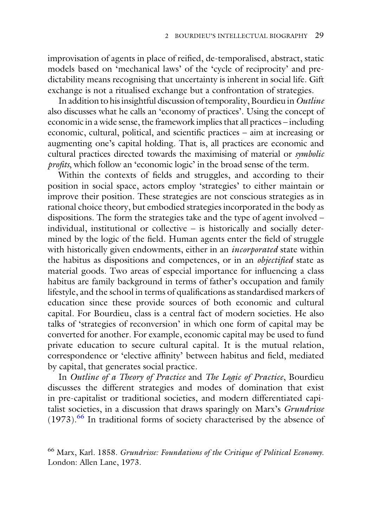improvisation of agents in place of reified, de-temporalised, abstract, static models based on 'mechanical laws' of the 'cycle of reciprocity' and predictability means recognising that uncertainty is inherent in social life. Gift exchange is not a ritualised exchange but a confrontation of strategies.

In addition to his insightful discussion of temporality, Bourdieu in Outline also discusses what he calls an 'economy of practices'. Using the concept of economic in a wide sense, the framework implies that all practices – including economic, cultural, political, and scientific practices – aim at increasing or augmenting one's capital holding. That is, all practices are economic and cultural practices directed towards the maximising of material or symbolic profits, which follow an 'economic logic' in the broad sense of the term.

Within the contexts of fields and struggles, and according to their position in social space, actors employ 'strategies' to either maintain or improve their position. These strategies are not conscious strategies as in rational choice theory, but embodied strategies incorporated in the body as dispositions. The form the strategies take and the type of agent involved – individual, institutional or collective – is historically and socially determined by the logic of the field. Human agents enter the field of struggle with historically given endowments, either in an *incorporated* state within the habitus as dispositions and competences, or in an objectified state as material goods. Two areas of especial importance for influencing a class habitus are family background in terms of father's occupation and family lifestyle, and the school in terms of qualifications as standardised markers of education since these provide sources of both economic and cultural capital. For Bourdieu, class is a central fact of modern societies. He also talks of 'strategies of reconversion' in which one form of capital may be converted for another. For example, economic capital may be used to fund private education to secure cultural capital. It is the mutual relation, correspondence or 'elective affinity' between habitus and field, mediated by capital, that generates social practice.

In Outline of a Theory of Practice and The Logic of Practice, Bourdieu discusses the different strategies and modes of domination that exist in pre-capitalist or traditional societies, and modern differentiated capitalist societies, in a discussion that draws sparingly on Marx's *Grundrisse*  $(1973)$ .<sup>66</sup> In traditional forms of society characterised by the absence of

<sup>66</sup> Marx, Karl. 1858. Grundrisse: Foundations of the Critique of Political Economy. London: Allen Lane, 1973.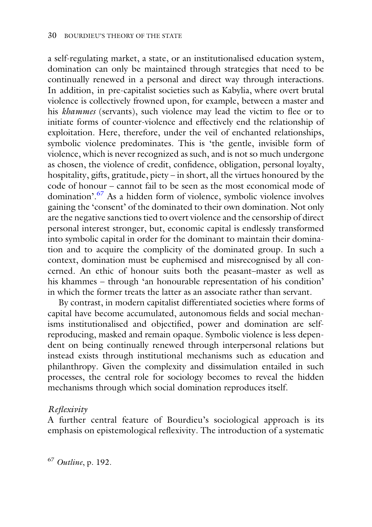a self-regulating market, a state, or an institutionalised education system, domination can only be maintained through strategies that need to be continually renewed in a personal and direct way through interactions. In addition, in pre-capitalist societies such as Kabylia, where overt brutal violence is collectively frowned upon, for example, between a master and his khammes (servants), such violence may lead the victim to flee or to initiate forms of counter-violence and effectively end the relationship of exploitation. Here, therefore, under the veil of enchanted relationships, symbolic violence predominates. This is 'the gentle, invisible form of violence, which is never recognized as such, and is not so much undergone as chosen, the violence of credit, confidence, obligation, personal loyalty, hospitality, gifts, gratitude, piety – in short, all the virtues honoured by the code of honour – cannot fail to be seen as the most economical mode of domination'.<sup>67</sup> As a hidden form of violence, symbolic violence involves gaining the 'consent' of the dominated to their own domination. Not only are the negative sanctions tied to overt violence and the censorship of direct personal interest stronger, but, economic capital is endlessly transformed into symbolic capital in order for the dominant to maintain their domination and to acquire the complicity of the dominated group. In such a context, domination must be euphemised and misrecognised by all concerned. An ethic of honour suits both the peasant–master as well as his khammes – through 'an honourable representation of his condition' in which the former treats the latter as an associate rather than servant.

By contrast, in modern capitalist differentiated societies where forms of capital have become accumulated, autonomous fields and social mechanisms institutionalised and objectified, power and domination are selfreproducing, masked and remain opaque. Symbolic violence is less dependent on being continually renewed through interpersonal relations but instead exists through institutional mechanisms such as education and philanthropy. Given the complexity and dissimulation entailed in such processes, the central role for sociology becomes to reveal the hidden mechanisms through which social domination reproduces itself.

# Reflexivity

A further central feature of Bourdieu's sociological approach is its emphasis on epistemological reflexivity. The introduction of a systematic

 $67$  Outline, p. 192.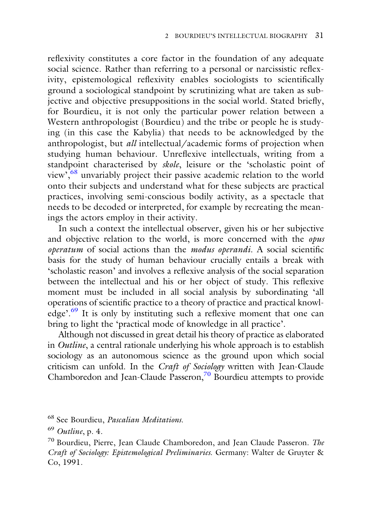reflexivity constitutes a core factor in the foundation of any adequate social science. Rather than referring to a personal or narcissistic reflexivity, epistemological reflexivity enables sociologists to scientifically ground a sociological standpoint by scrutinizing what are taken as subjective and objective presuppositions in the social world. Stated briefly, for Bourdieu, it is not only the particular power relation between a Western anthropologist (Bourdieu) and the tribe or people he is studying (in this case the Kabylia) that needs to be acknowledged by the anthropologist, but all intellectual/academic forms of projection when studying human behaviour. Unreflexive intellectuals, writing from a standpoint characterised by skole, leisure or the 'scholastic point of view<sup>, 68</sup> unvariably project their passive academic relation to the world onto their subjects and understand what for these subjects are practical practices, involving semi-conscious bodily activity, as a spectacle that needs to be decoded or interpreted, for example by recreating the meanings the actors employ in their activity.

In such a context the intellectual observer, given his or her subjective and objective relation to the world, is more concerned with the *opus* operatum of social actions than the *modus operandi*. A social scientific basis for the study of human behaviour crucially entails a break with 'scholastic reason' and involves a reflexive analysis of the social separation between the intellectual and his or her object of study. This reflexive moment must be included in all social analysis by subordinating 'all operations of scientific practice to a theory of practice and practical knowledge'.<sup>69</sup> It is only by instituting such a reflexive moment that one can bring to light the 'practical mode of knowledge in all practice'.

Although not discussed in great detail his theory of practice as elaborated in Outline, a central rationale underlying his whole approach is to establish sociology as an autonomous science as the ground upon which social criticism can unfold. In the Craft of Sociology written with Jean-Claude Chamboredon and Jean-Claude Passeron,<sup>70</sup> Bourdieu attempts to provide

<sup>68</sup> See Bourdieu, Pascalian Meditations.

 $69$  Outline, p. 4.

<sup>70</sup> Bourdieu, Pierre, Jean Claude Chamboredon, and Jean Claude Passeron. The Craft of Sociology: Epistemological Preliminaries. Germany: Walter de Gruyter & Co, 1991.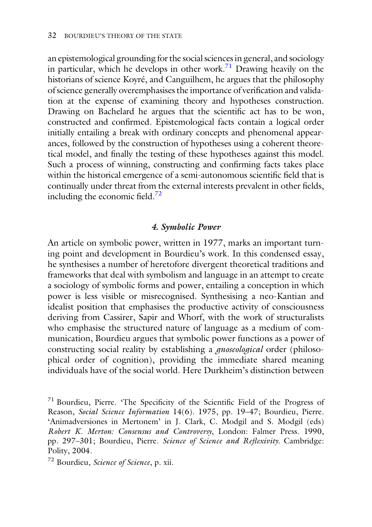an epistemological grounding for the social sciences in general, and sociology in particular, which he develops in other work.<sup>71</sup> Drawing heavily on the historians of science Koyré, and Canguilhem, he argues that the philosophy of science generally overemphasises the importance of verification and validation at the expense of examining theory and hypotheses construction. Drawing on Bachelard he argues that the scientific act has to be won, constructed and confirmed. Epistemological facts contain a logical order initially entailing a break with ordinary concepts and phenomenal appearances, followed by the construction of hypotheses using a coherent theoretical model, and finally the testing of these hypotheses against this model. Such a process of winning, constructing and confirming facts takes place within the historical emergence of a semi-autonomous scientific field that is continually under threat from the external interests prevalent in other fields, including the economic field.72

#### 4. Symbolic Power

An article on symbolic power, written in 1977, marks an important turning point and development in Bourdieu's work. In this condensed essay, he synthesises a number of heretofore divergent theoretical traditions and frameworks that deal with symbolism and language in an attempt to create a sociology of symbolic forms and power, entailing a conception in which power is less visible or misrecognised. Synthesising a neo-Kantian and idealist position that emphasises the productive activity of consciousness deriving from Cassirer, Sapir and Whorf, with the work of structuralists who emphasise the structured nature of language as a medium of communication, Bourdieu argues that symbolic power functions as a power of constructing social reality by establishing a *gnoseological* order (philosophical order of cognition), providing the immediate shared meaning individuals have of the social world. Here Durkheim's distinction between

<sup>71</sup> Bourdieu, Pierre. 'The Specificity of the Scientific Field of the Progress of Reason, Social Science Information 14(6). 1975, pp. 19–47; Bourdieu, Pierre. 'Animadversiones in Mertonem' in J. Clark, C. Modgil and S. Modgil (eds) Robert K. Merton: Consensus and Controversy, London: Falmer Press. 1990, pp. 297–301; Bourdieu, Pierre. Science of Science and Reflexivity. Cambridge: Polity, 2004.

<sup>72</sup> Bourdieu, Science of Science, p. xii.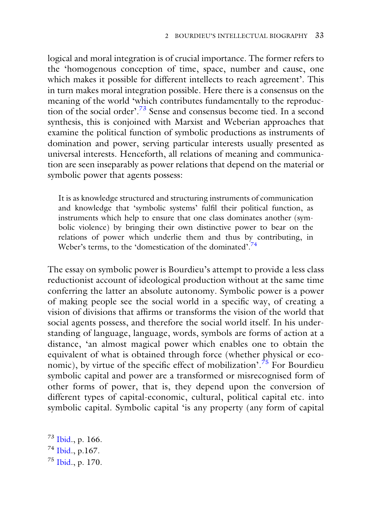logical and moral integration is of crucial importance. The former refers to the 'homogenous conception of time, space, number and cause, one which makes it possible for different intellects to reach agreement'. This in turn makes moral integration possible. Here there is a consensus on the meaning of the world 'which contributes fundamentally to the reproduction of the social order'.<sup>73</sup> Sense and consensus become tied. In a second synthesis, this is conjoined with Marxist and Weberian approaches that examine the political function of symbolic productions as instruments of domination and power, serving particular interests usually presented as universal interests. Henceforth, all relations of meaning and communication are seen inseparably as power relations that depend on the material or symbolic power that agents possess:

It is as knowledge structured and structuring instruments of communication and knowledge that 'symbolic systems' fulfil their political function, as instruments which help to ensure that one class dominates another (symbolic violence) by bringing their own distinctive power to bear on the relations of power which underlie them and thus by contributing, in Weber's terms, to the 'domestication of the dominated'.<sup>74</sup>

The essay on symbolic power is Bourdieu's attempt to provide a less class reductionist account of ideological production without at the same time conferring the latter an absolute autonomy. Symbolic power is a power of making people see the social world in a specific way, of creating a vision of divisions that affirms or transforms the vision of the world that social agents possess, and therefore the social world itself. In his understanding of language, language, words, symbols are forms of action at a distance, 'an almost magical power which enables one to obtain the equivalent of what is obtained through force (whether physical or economic), by virtue of the specific effect of mobilization'.<sup>75</sup> For Bourdieu symbolic capital and power are a transformed or misrecognised form of other forms of power, that is, they depend upon the conversion of different types of capital-economic, cultural, political capital etc. into symbolic capital. Symbolic capital 'is any property (any form of capital

 $^{73}$  Ibid., p. 166. <sup>74</sup> Ibid., p.167. <sup>75</sup> Ibid., p. 170.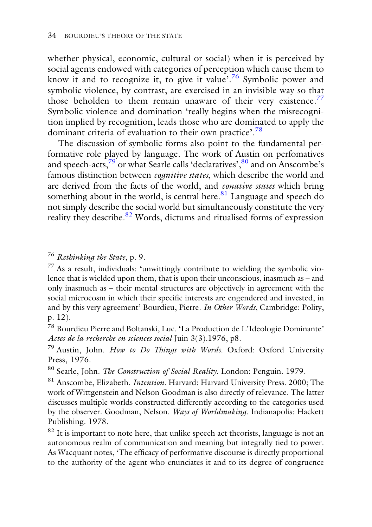whether physical, economic, cultural or social) when it is perceived by social agents endowed with categories of perception which cause them to know it and to recognize it, to give it value'.<sup>76</sup> Symbolic power and symbolic violence, by contrast, are exercised in an invisible way so that those beholden to them remain unaware of their very existence.<sup>77</sup> Symbolic violence and domination 'really begins when the misrecognition implied by recognition, leads those who are dominated to apply the dominant criteria of evaluation to their own practice'.<sup>78</sup>

The discussion of symbolic forms also point to the fundamental performative role played by language. The work of Austin on perfomatives and speech-acts,<sup>79</sup> or what Searle calls 'declaratives',<sup>80</sup> and on Anscombe's famous distinction between cognitive states, which describe the world and are derived from the facts of the world, and conative states which bring something about in the world, is central here.<sup>81</sup> Language and speech do not simply describe the social world but simultaneously constitute the very reality they describe. $82$  Words, dictums and ritualised forms of expression

<sup>76</sup> Rethinking the State, p. 9.

<sup>77</sup> As a result, individuals: 'unwittingly contribute to wielding the symbolic violence that is wielded upon them, that is upon their unconscious, inasmuch as – and only inasmuch as – their mental structures are objectively in agreement with the social microcosm in which their specific interests are engendered and invested, in and by this very agreement' Bourdieu, Pierre. In Other Words, Cambridge: Polity, p. 12).

<sup>78</sup> Bourdieu Pierre and Boltanski, Luc. 'La Production de L'Ideologie Dominante' Actes de la recherche en sciences social Juin 3(3).1976, p8.

 $^{79}$  Austin, John. How to Do Things with Words. Oxford: Oxford University Press, 1976.

<sup>80</sup> Searle, John. The Construction of Social Reality. London: Penguin. 1979.

Anscombe, Elizabeth. Intention. Harvard: Harvard University Press. 2000; The work of Wittgenstein and Nelson Goodman is also directly of relevance. The latter discusses multiple worlds constructed differently according to the categories used by the observer. Goodman, Nelson. Ways of Worldmaking. Indianapolis: Hackett Publishing. 1978.

 $82$  It is important to note here, that unlike speech act theorists, language is not an autonomous realm of communication and meaning but integrally tied to power. As Wacquant notes, 'The efficacy of performative discourse is directly proportional to the authority of the agent who enunciates it and to its degree of congruence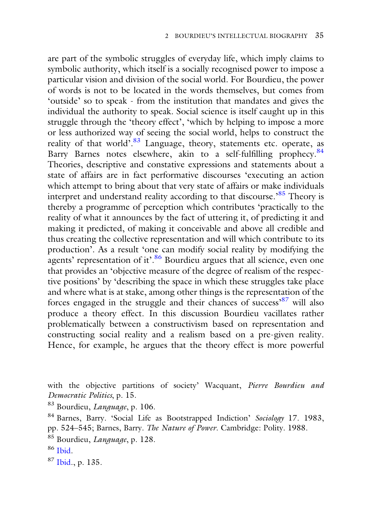are part of the symbolic struggles of everyday life, which imply claims to symbolic authority, which itself is a socially recognised power to impose a particular vision and division of the social world. For Bourdieu, the power of words is not to be located in the words themselves, but comes from 'outside' so to speak - from the institution that mandates and gives the individual the authority to speak. Social science is itself caught up in this struggle through the 'theory effect', 'which by helping to impose a more or less authorized way of seeing the social world, helps to construct the reality of that world'.<sup>83</sup> Language, theory, statements etc. operate, as Barry Barnes notes elsewhere, akin to a self-fulfilling prophecy.<sup>84</sup> Theories, descriptive and constative expressions and statements about a state of affairs are in fact performative discourses 'executing an action which attempt to bring about that very state of affairs or make individuals interpret and understand reality according to that discourse.<sup>85</sup> Theory is thereby a programme of perception which contributes 'practically to the reality of what it announces by the fact of uttering it, of predicting it and making it predicted, of making it conceivable and above all credible and thus creating the collective representation and will which contribute to its production'. As a result 'one can modify social reality by modifying the agents' representation of it'.<sup>86</sup> Bourdieu argues that all science, even one that provides an 'objective measure of the degree of realism of the respective positions' by 'describing the space in which these struggles take place and where what is at stake, among other things is the representation of the forces engaged in the struggle and their chances of success<sup>,87</sup> will also produce a theory effect. In this discussion Bourdieu vacillates rather problematically between a constructivism based on representation and constructing social reality and a realism based on a pre-given reality. Hence, for example, he argues that the theory effect is more powerful

with the objective partitions of society' Wacquant, Pierre Bourdieu and Democratic Politics, p. 15.

<sup>84</sup> Barnes, Barry. 'Social Life as Bootstrapped Indiction' Sociology 17. 1983, pp. 524–545; Barnes, Barry. The Nature of Power. Cambridge: Polity. 1988.

85 Bourdieu, Language, p. 128.

<sup>83</sup> Bourdieu, Language, p. 106.

<sup>86</sup> Ibid.

<sup>87</sup> Ibid., p. 135.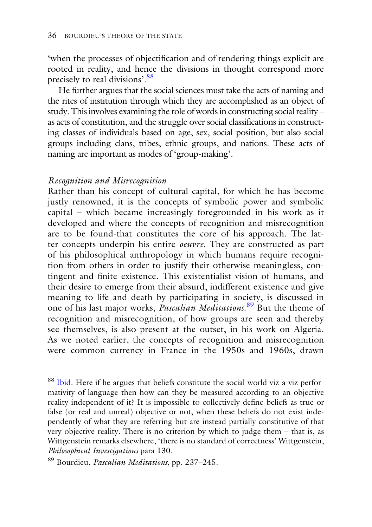'when the processes of objectification and of rendering things explicit are rooted in reality, and hence the divisions in thought correspond more precisely to real divisions'.<sup>88</sup>

He further argues that the social sciences must take the acts of naming and the rites of institution through which they are accomplished as an object of study. This involves examining the role of words in constructing social reality – as acts of constitution, and the struggle over social classifications in constructing classes of individuals based on age, sex, social position, but also social groups including clans, tribes, ethnic groups, and nations. These acts of naming are important as modes of 'group-making'.

## Recognition and Misrecognition

Rather than his concept of cultural capital, for which he has become justly renowned, it is the concepts of symbolic power and symbolic capital – which became increasingly foregrounded in his work as it developed and where the concepts of recognition and misrecognition are to be found-that constitutes the core of his approach. The latter concepts underpin his entire oeuvre. They are constructed as part of his philosophical anthropology in which humans require recognition from others in order to justify their otherwise meaningless, contingent and finite existence. This existentialist vision of humans, and their desire to emerge from their absurd, indifferent existence and give meaning to life and death by participating in society, is discussed in one of his last major works, *Pascalian Meditations*.<sup>89</sup> But the theme of recognition and misrecognition, of how groups are seen and thereby see themselves, is also present at the outset, in his work on Algeria. As we noted earlier, the concepts of recognition and misrecognition were common currency in France in the 1950s and 1960s, drawn

Ibid. Here if he argues that beliefs constitute the social world viz-a-viz performativity of language then how can they be measured according to an objective reality independent of it? It is impossible to collectively define beliefs as true or false (or real and unreal) objective or not, when these beliefs do not exist independently of what they are referring but are instead partially constitutive of that very objective reality. There is no criterion by which to judge them – that is, as Wittgenstein remarks elsewhere, 'there is no standard of correctness' Wittgenstein, Philosophical Investigations para 130.

<sup>89</sup> Bourdieu, Pascalian Meditations, pp. 237–245.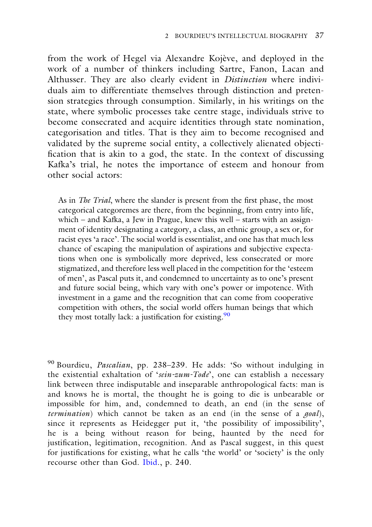from the work of Hegel via Alexandre Kojève, and deployed in the work of a number of thinkers including Sartre, Fanon, Lacan and Althusser. They are also clearly evident in *Distinction* where individuals aim to differentiate themselves through distinction and pretension strategies through consumption. Similarly, in his writings on the state, where symbolic processes take centre stage, individuals strive to become consecrated and acquire identities through state nomination, categorisation and titles. That is they aim to become recognised and validated by the supreme social entity, a collectively alienated objectification that is akin to a god, the state. In the context of discussing Kafka's trial, he notes the importance of esteem and honour from other social actors:

As in *The Trial*, where the slander is present from the first phase, the most categorical categoremes are there, from the beginning, from entry into life, which – and Kafka, a Jew in Prague, knew this well – starts with an assignment of identity designating a category, a class, an ethnic group, a sex or, for racist eyes 'a race'. The social world is essentialist, and one has that much less chance of escaping the manipulation of aspirations and subjective expectations when one is symbolically more deprived, less consecrated or more stigmatized, and therefore less well placed in the competition for the 'esteem of men', as Pascal puts it, and condemned to uncertainty as to one's present and future social being, which vary with one's power or impotence. With investment in a game and the recognition that can come from cooperative competition with others, the social world offers human beings that which they most totally lack: a justification for existing. $90$ 

<sup>90</sup> Bourdieu, Pascalian, pp. 238–239. He adds: 'So without indulging in the existential exhaltation of 'sein-zum-Tode', one can establish a necessary link between three indisputable and inseparable anthropological facts: man is and knows he is mortal, the thought he is going to die is unbearable or impossible for him, and, condemned to death, an end (in the sense of termination) which cannot be taken as an end (in the sense of a  $\eta$ oal), since it represents as Heidegger put it, 'the possibility of impossibility', he is a being without reason for being, haunted by the need for justification, legitimation, recognition. And as Pascal suggest, in this quest for justifications for existing, what he calls 'the world' or 'society' is the only recourse other than God. Ibid., p. 240.